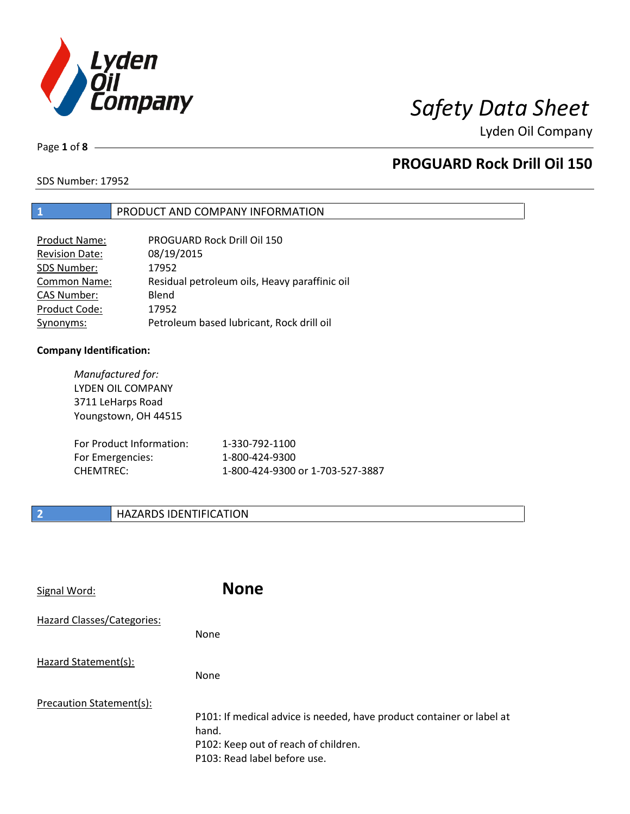

Page **1** of **8**

## **PROGUARD Rock Drill Oil 150**

SDS Number: 17952

### **1** PRODUCT AND COMPANY INFORMATION

| <b>Product Name:</b>  | PROGUARD Rock Drill Oil 150                   |
|-----------------------|-----------------------------------------------|
| <b>Revision Date:</b> | 08/19/2015                                    |
| SDS Number:           | 17952                                         |
| Common Name:          | Residual petroleum oils, Heavy paraffinic oil |
| <b>CAS Number:</b>    | Blend                                         |
| Product Code:         | 17952                                         |
| Synonyms:             | Petroleum based lubricant, Rock drill oil     |

### **Company Identification:**

*Manufactured for:* LYDEN OIL COMPANY 3711 LeHarps Road Youngstown, OH 44515 For Product Information: 1-330-792-1100 For Emergencies: 1-800-424-9300 CHEMTREC: 1-800-424-9300 or 1-703-527-3887

## **2 HAZARDS IDENTIFICATION**

| Signal Word:               | <b>None</b>                                                                                                                                            |
|----------------------------|--------------------------------------------------------------------------------------------------------------------------------------------------------|
| Hazard Classes/Categories: | <b>None</b>                                                                                                                                            |
| Hazard Statement(s):       | None                                                                                                                                                   |
| Precaution Statement(s):   | P101: If medical advice is needed, have product container or label at<br>hand.<br>P102: Keep out of reach of children.<br>P103: Read label before use. |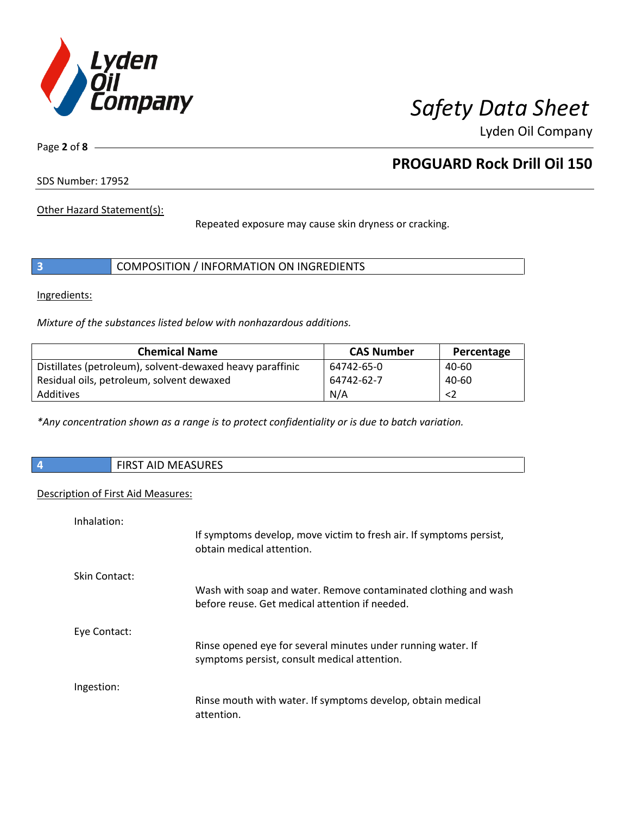

Page **2** of **8**

## **PROGUARD Rock Drill Oil 150**

SDS Number: 17952

Other Hazard Statement(s):

Repeated exposure may cause skin dryness or cracking.

|  | COMPOSITION / INFORMATION ON INGREDIENTS |
|--|------------------------------------------|
|--|------------------------------------------|

Ingredients:

*Mixture of the substances listed below with nonhazardous additions.*

| <b>Chemical Name</b>                                      | <b>CAS Number</b> | Percentage |
|-----------------------------------------------------------|-------------------|------------|
| Distillates (petroleum), solvent-dewaxed heavy paraffinic | 64742-65-0        | 40-60      |
| Residual oils, petroleum, solvent dewaxed                 | 64742-62-7        | $40 - 60$  |
| Additives                                                 | N/A               |            |

*\*Any concentration shown as a range is to protect confidentiality or is due to batch variation.*

| <b>FIRST AID MEASURES</b> |
|---------------------------|
|                           |

### Description of First Aid Measures:

| Inhalation:   |                                                                                                                   |
|---------------|-------------------------------------------------------------------------------------------------------------------|
|               | If symptoms develop, move victim to fresh air. If symptoms persist,<br>obtain medical attention.                  |
| Skin Contact: |                                                                                                                   |
|               | Wash with soap and water. Remove contaminated clothing and wash<br>before reuse. Get medical attention if needed. |
| Eye Contact:  |                                                                                                                   |
|               | Rinse opened eye for several minutes under running water. If<br>symptoms persist, consult medical attention.      |
| Ingestion:    |                                                                                                                   |
|               | Rinse mouth with water. If symptoms develop, obtain medical<br>attention.                                         |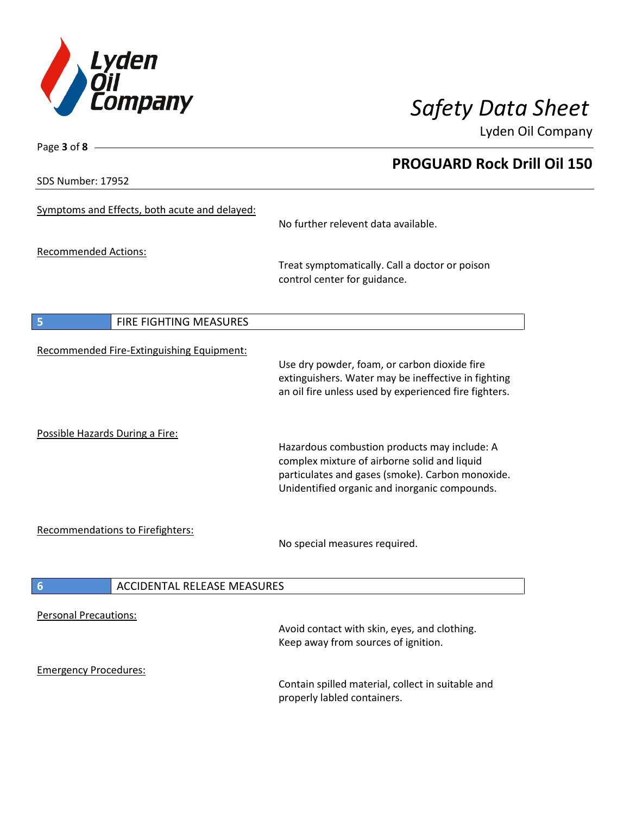

**PROGUARD Rock Drill Oil 150**

Lyden Oil Company

SDS Number: 17952

Page **3** of **8**

| Symptoms and Effects, both acute and delayed:         | No further relevent data available.                                                                                                                                                               |
|-------------------------------------------------------|---------------------------------------------------------------------------------------------------------------------------------------------------------------------------------------------------|
| <b>Recommended Actions:</b>                           | Treat symptomatically. Call a doctor or poison<br>control center for guidance.                                                                                                                    |
| FIRE FIGHTING MEASURES<br>5                           |                                                                                                                                                                                                   |
| Recommended Fire-Extinguishing Equipment:             | Use dry powder, foam, or carbon dioxide fire<br>extinguishers. Water may be ineffective in fighting<br>an oil fire unless used by experienced fire fighters.                                      |
| Possible Hazards During a Fire:                       | Hazardous combustion products may include: A<br>complex mixture of airborne solid and liquid<br>particulates and gases (smoke). Carbon monoxide.<br>Unidentified organic and inorganic compounds. |
| Recommendations to Firefighters:                      | No special measures required.                                                                                                                                                                     |
| <b>ACCIDENTAL RELEASE MEASURES</b><br>$6\phantom{1}6$ |                                                                                                                                                                                                   |
| <b>Personal Precautions:</b>                          | Avoid contact with skin, eyes, and clothing.<br>Keep away from sources of ignition.                                                                                                               |
| <b>Emergency Procedures:</b>                          | Contain spilled material, collect in suitable and<br>properly labled containers.                                                                                                                  |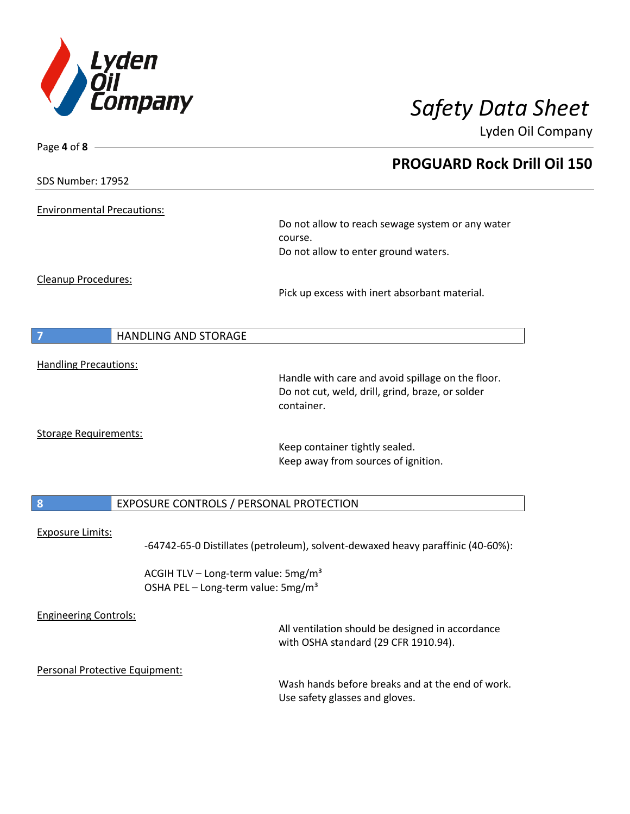

| Page 4 of 8 -                                 |                                                                                 |
|-----------------------------------------------|---------------------------------------------------------------------------------|
|                                               | <b>PROGUARD Rock Drill Oil 150</b>                                              |
| <b>SDS Number: 17952</b>                      |                                                                                 |
| <b>Environmental Precautions:</b>             |                                                                                 |
|                                               | Do not allow to reach sewage system or any water                                |
|                                               | course.                                                                         |
|                                               | Do not allow to enter ground waters.                                            |
| Cleanup Procedures:                           |                                                                                 |
|                                               | Pick up excess with inert absorbant material.                                   |
|                                               |                                                                                 |
| <b>HANDLING AND STORAGE</b><br>$\overline{7}$ |                                                                                 |
| <b>Handling Precautions:</b>                  |                                                                                 |
|                                               | Handle with care and avoid spillage on the floor.                               |
|                                               | Do not cut, weld, drill, grind, braze, or solder<br>container.                  |
|                                               |                                                                                 |
| <b>Storage Requirements:</b>                  | Keep container tightly sealed.                                                  |
|                                               | Keep away from sources of ignition.                                             |
|                                               |                                                                                 |
| $\boldsymbol{8}$                              | EXPOSURE CONTROLS / PERSONAL PROTECTION                                         |
| <b>Exposure Limits:</b>                       |                                                                                 |
|                                               | -64742-65-0 Distillates (petroleum), solvent-dewaxed heavy paraffinic (40-60%): |
|                                               | ACGIH TLV - Long-term value: 5mg/m <sup>3</sup>                                 |
|                                               | OSHA PEL - Long-term value: 5mg/m <sup>3</sup>                                  |
| <b>Engineering Controls:</b>                  |                                                                                 |
|                                               | All ventilation should be designed in accordance                                |
|                                               | with OSHA standard (29 CFR 1910.94).                                            |
| Personal Protective Equipment:                |                                                                                 |
|                                               | Wash hands before breaks and at the end of work.                                |
|                                               | Use safety glasses and gloves.                                                  |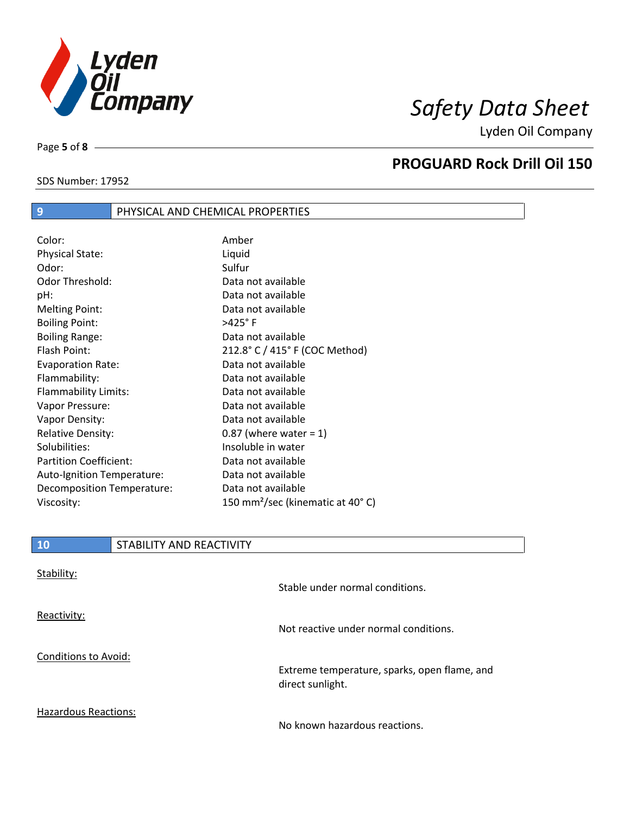

SDS Number: 17952

Page **5** of **8**

## **PROGUARD Rock Drill Oil 150**

# **9** PHYSICAL AND CHEMICAL PROPERTIES

| Color:                        | Amber                                        |
|-------------------------------|----------------------------------------------|
| <b>Physical State:</b>        | Liquid                                       |
| Odor:                         | Sulfur                                       |
| Odor Threshold:               | Data not available                           |
| pH:                           | Data not available                           |
| <b>Melting Point:</b>         | Data not available                           |
| <b>Boiling Point:</b>         | $>425^\circ$ F                               |
| <b>Boiling Range:</b>         | Data not available                           |
| Flash Point:                  | 212.8° C / 415° F (COC Method)               |
| <b>Evaporation Rate:</b>      | Data not available                           |
| Flammability:                 | Data not available                           |
| Flammability Limits:          | Data not available                           |
| Vapor Pressure:               | Data not available                           |
| Vapor Density:                | Data not available                           |
| <b>Relative Density:</b>      | $0.87$ (where water = 1)                     |
| Solubilities:                 | Insoluble in water                           |
| <b>Partition Coefficient:</b> | Data not available                           |
| Auto-Ignition Temperature:    | Data not available                           |
| Decomposition Temperature:    | Data not available                           |
| Viscosity:                    | 150 mm <sup>2</sup> /sec (kinematic at 40°C) |

| <b>10</b>                   | STABILITY AND REACTIVITY |                                              |
|-----------------------------|--------------------------|----------------------------------------------|
| Stability:                  |                          |                                              |
|                             |                          | Stable under normal conditions.              |
| Reactivity:                 |                          |                                              |
|                             |                          | Not reactive under normal conditions.        |
| Conditions to Avoid:        |                          | Extreme temperature, sparks, open flame, and |
|                             |                          | direct sunlight.                             |
| <b>Hazardous Reactions:</b> |                          |                                              |

No known hazardous reactions.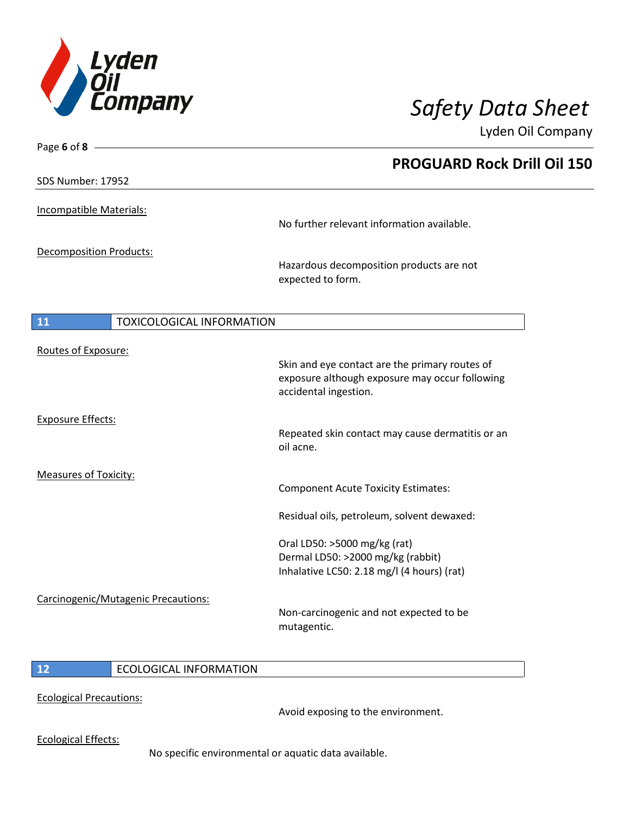

| Page 6 of $8 -$                        |                                                                                                                           |
|----------------------------------------|---------------------------------------------------------------------------------------------------------------------------|
|                                        | <b>PROGUARD Rock Drill Oil 150</b>                                                                                        |
| SDS Number: 17952                      |                                                                                                                           |
| Incompatible Materials:                |                                                                                                                           |
|                                        | No further relevant information available.                                                                                |
| <b>Decomposition Products:</b>         |                                                                                                                           |
|                                        | Hazardous decomposition products are not<br>expected to form.                                                             |
| 11<br><b>TOXICOLOGICAL INFORMATION</b> |                                                                                                                           |
| Routes of Exposure:                    |                                                                                                                           |
|                                        | Skin and eye contact are the primary routes of<br>exposure although exposure may occur following<br>accidental ingestion. |
| <b>Exposure Effects:</b>               |                                                                                                                           |
|                                        | Repeated skin contact may cause dermatitis or an<br>oil acne.                                                             |
| <b>Measures of Toxicity:</b>           | <b>Component Acute Toxicity Estimates:</b>                                                                                |
|                                        | Residual oils, petroleum, solvent dewaxed:                                                                                |
|                                        | Oral LD50: >5000 mg/kg (rat)<br>Dermal LD50: >2000 mg/kg (rabbit)                                                         |
|                                        | Inhalative LC50: 2.18 mg/l (4 hours) (rat)                                                                                |
| Carcinogenic/Mutagenic Precautions:    | Non-carcinogenic and not expected to be<br>mutagentic.                                                                    |
|                                        |                                                                                                                           |

## **12** ECOLOGICAL INFORMATION

Ecological Precautions:

Avoid exposing to the environment.

Ecological Effects:

No specific environmental or aquatic data available.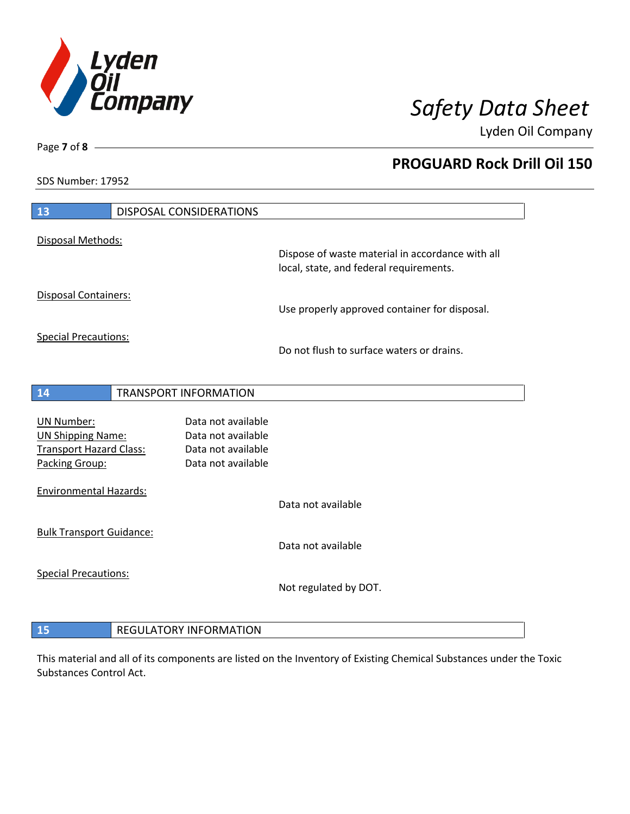

**PROGUARD Rock Drill Oil 150**

Lyden Oil Company

SDS Number: 17952

Page **7** of **8**

| 13                                                         |  | <b>DISPOSAL CONSIDERATIONS</b>           |                                                                                             |
|------------------------------------------------------------|--|------------------------------------------|---------------------------------------------------------------------------------------------|
| Disposal Methods:                                          |  |                                          |                                                                                             |
|                                                            |  |                                          | Dispose of waste material in accordance with all<br>local, state, and federal requirements. |
| Disposal Containers:                                       |  |                                          | Use properly approved container for disposal.                                               |
| <b>Special Precautions:</b>                                |  |                                          | Do not flush to surface waters or drains.                                                   |
| 14                                                         |  | <b>TRANSPORT INFORMATION</b>             |                                                                                             |
| <b>UN Number:</b>                                          |  | Data not available                       |                                                                                             |
| <b>UN Shipping Name:</b><br><b>Transport Hazard Class:</b> |  | Data not available<br>Data not available |                                                                                             |
| Packing Group:                                             |  | Data not available                       |                                                                                             |
| <b>Environmental Hazards:</b>                              |  |                                          |                                                                                             |
|                                                            |  |                                          | Data not available                                                                          |
| <b>Bulk Transport Guidance:</b>                            |  |                                          | Data not available                                                                          |
| <b>Special Precautions:</b>                                |  |                                          | Not regulated by DOT.                                                                       |
|                                                            |  |                                          |                                                                                             |
| <b>REGULATORY INFORMATION</b><br>15                        |  |                                          |                                                                                             |

This material and all of its components are listed on the Inventory of Existing Chemical Substances under the Toxic Substances Control Act.